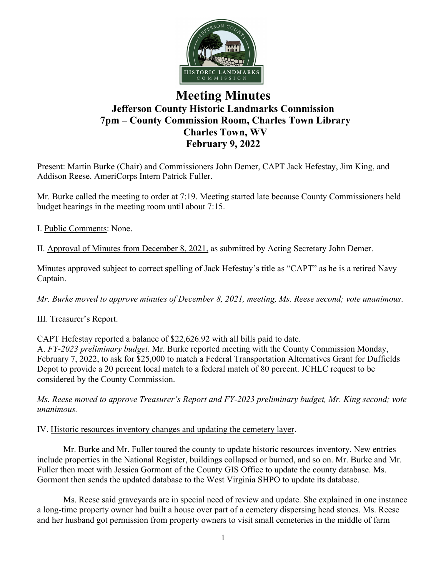

# **Meeting Minutes Jefferson County Historic Landmarks Commission 7pm – County Commission Room, Charles Town Library Charles Town, WV February 9, 2022**

Present: Martin Burke (Chair) and Commissioners John Demer, CAPT Jack Hefestay, Jim King, and Addison Reese. AmeriCorps Intern Patrick Fuller.

Mr. Burke called the meeting to order at 7:19. Meeting started late because County Commissioners held budget hearings in the meeting room until about 7:15.

I. Public Comments: None.

II. Approval of Minutes from December 8, 2021, as submitted by Acting Secretary John Demer.

Minutes approved subject to correct spelling of Jack Hefestay's title as "CAPT" as he is a retired Navy Captain.

*Mr. Burke moved to approve minutes of December 8, 2021, meeting, Ms. Reese second; vote unanimous*.

# III. Treasurer's Report.

CAPT Hefestay reported a balance of \$22,626.92 with all bills paid to date.

A. *FY-2023 preliminary budget*. Mr. Burke reported meeting with the County Commission Monday, February 7, 2022, to ask for \$25,000 to match a Federal Transportation Alternatives Grant for Duffields Depot to provide a 20 percent local match to a federal match of 80 percent. JCHLC request to be considered by the County Commission.

*Ms. Reese moved to approve Treasurer's Report and FY-2023 preliminary budget, Mr. King second; vote unanimous.*

# IV. Historic resources inventory changes and updating the cemetery layer.

Mr. Burke and Mr. Fuller toured the county to update historic resources inventory. New entries include properties in the National Register, buildings collapsed or burned, and so on. Mr. Burke and Mr. Fuller then meet with Jessica Gormont of the County GIS Office to update the county database. Ms. Gormont then sends the updated database to the West Virginia SHPO to update its database.

Ms. Reese said graveyards are in special need of review and update. She explained in one instance a long-time property owner had built a house over part of a cemetery dispersing head stones. Ms. Reese and her husband got permission from property owners to visit small cemeteries in the middle of farm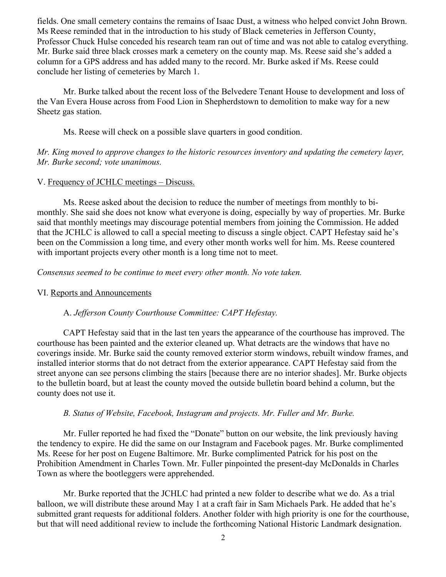fields. One small cemetery contains the remains of Isaac Dust, a witness who helped convict John Brown. Ms Reese reminded that in the introduction to his study of Black cemeteries in Jefferson County, Professor Chuck Hulse conceded his research team ran out of time and was not able to catalog everything. Mr. Burke said three black crosses mark a cemetery on the county map. Ms. Reese said she's added a column for a GPS address and has added many to the record. Mr. Burke asked if Ms. Reese could conclude her listing of cemeteries by March 1.

Mr. Burke talked about the recent loss of the Belvedere Tenant House to development and loss of the Van Evera House across from Food Lion in Shepherdstown to demolition to make way for a new Sheetz gas station.

Ms. Reese will check on a possible slave quarters in good condition.

*Mr. King moved to approve changes to the historic resources inventory and updating the cemetery layer, Mr. Burke second; vote unanimous.*

# V. Frequency of JCHLC meetings – Discuss.

Ms. Reese asked about the decision to reduce the number of meetings from monthly to bimonthly. She said she does not know what everyone is doing, especially by way of properties. Mr. Burke said that monthly meetings may discourage potential members from joining the Commission. He added that the JCHLC is allowed to call a special meeting to discuss a single object. CAPT Hefestay said he's been on the Commission a long time, and every other month works well for him. Ms. Reese countered with important projects every other month is a long time not to meet.

*Consensus seemed to be continue to meet every other month. No vote taken.*

#### VI. Reports and Announcements

## A. *Jefferson County Courthouse Committee: CAPT Hefestay.*

CAPT Hefestay said that in the last ten years the appearance of the courthouse has improved. The courthouse has been painted and the exterior cleaned up. What detracts are the windows that have no coverings inside. Mr. Burke said the county removed exterior storm windows, rebuilt window frames, and installed interior storms that do not detract from the exterior appearance. CAPT Hefestay said from the street anyone can see persons climbing the stairs [because there are no interior shades]. Mr. Burke objects to the bulletin board, but at least the county moved the outside bulletin board behind a column, but the county does not use it.

## *B. Status of Website, Facebook, Instagram and projects. Mr. Fuller and Mr. Burke.*

Mr. Fuller reported he had fixed the "Donate" button on our website, the link previously having the tendency to expire. He did the same on our Instagram and Facebook pages. Mr. Burke complimented Ms. Reese for her post on Eugene Baltimore. Mr. Burke complimented Patrick for his post on the Prohibition Amendment in Charles Town. Mr. Fuller pinpointed the present-day McDonalds in Charles Town as where the bootleggers were apprehended.

Mr. Burke reported that the JCHLC had printed a new folder to describe what we do. As a trial balloon, we will distribute these around May 1 at a craft fair in Sam Michaels Park. He added that he's submitted grant requests for additional folders. Another folder with high priority is one for the courthouse, but that will need additional review to include the forthcoming National Historic Landmark designation.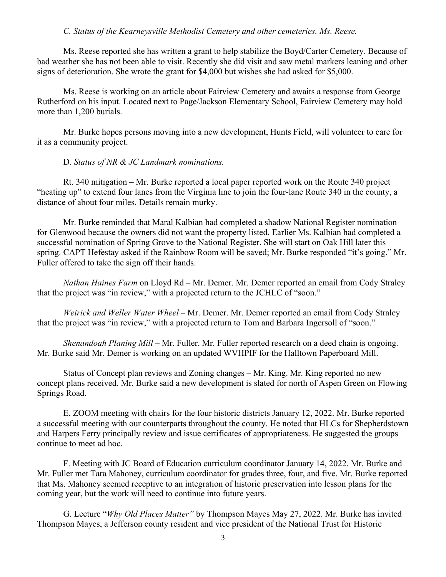### *C. Status of the Kearneysville Methodist Cemetery and other cemeteries. Ms. Reese.*

Ms. Reese reported she has written a grant to help stabilize the Boyd/Carter Cemetery. Because of bad weather she has not been able to visit. Recently she did visit and saw metal markers leaning and other signs of deterioration. She wrote the grant for \$4,000 but wishes she had asked for \$5,000.

Ms. Reese is working on an article about Fairview Cemetery and awaits a response from George Rutherford on his input. Located next to Page/Jackson Elementary School, Fairview Cemetery may hold more than 1,200 burials.

Mr. Burke hopes persons moving into a new development, Hunts Field, will volunteer to care for it as a community project.

#### D. *Status of NR & JC Landmark nominations.*

Rt. 340 mitigation – Mr. Burke reported a local paper reported work on the Route 340 project "heating up" to extend four lanes from the Virginia line to join the four-lane Route 340 in the county, a distance of about four miles. Details remain murky.

Mr. Burke reminded that Maral Kalbian had completed a shadow National Register nomination for Glenwood because the owners did not want the property listed. Earlier Ms. Kalbian had completed a successful nomination of Spring Grove to the National Register. She will start on Oak Hill later this spring. CAPT Hefestay asked if the Rainbow Room will be saved; Mr. Burke responded "it's going." Mr. Fuller offered to take the sign off their hands.

*Nathan Haines Farm* on Lloyd Rd – Mr. Demer. Mr. Demer reported an email from Cody Straley that the project was "in review," with a projected return to the JCHLC of "soon."

*Weirick and Weller Water Wheel* – Mr. Demer. Mr. Demer reported an email from Cody Straley that the project was "in review," with a projected return to Tom and Barbara Ingersoll of "soon."

*Shenandoah Planing Mill –* Mr. Fuller. Mr. Fuller reported research on a deed chain is ongoing. Mr. Burke said Mr. Demer is working on an updated WVHPIF for the Halltown Paperboard Mill.

Status of Concept plan reviews and Zoning changes – Mr. King. Mr. King reported no new concept plans received. Mr. Burke said a new development is slated for north of Aspen Green on Flowing Springs Road.

E. ZOOM meeting with chairs for the four historic districts January 12, 2022. Mr. Burke reported a successful meeting with our counterparts throughout the county. He noted that HLCs for Shepherdstown and Harpers Ferry principally review and issue certificates of appropriateness. He suggested the groups continue to meet ad hoc.

F. Meeting with JC Board of Education curriculum coordinator January 14, 2022. Mr. Burke and Mr. Fuller met Tara Mahoney, curriculum coordinator for grades three, four, and five. Mr. Burke reported that Ms. Mahoney seemed receptive to an integration of historic preservation into lesson plans for the coming year, but the work will need to continue into future years.

G. Lecture "*Why Old Places Matter"* by Thompson Mayes May 27, 2022. Mr. Burke has invited Thompson Mayes, a Jefferson county resident and vice president of the National Trust for Historic